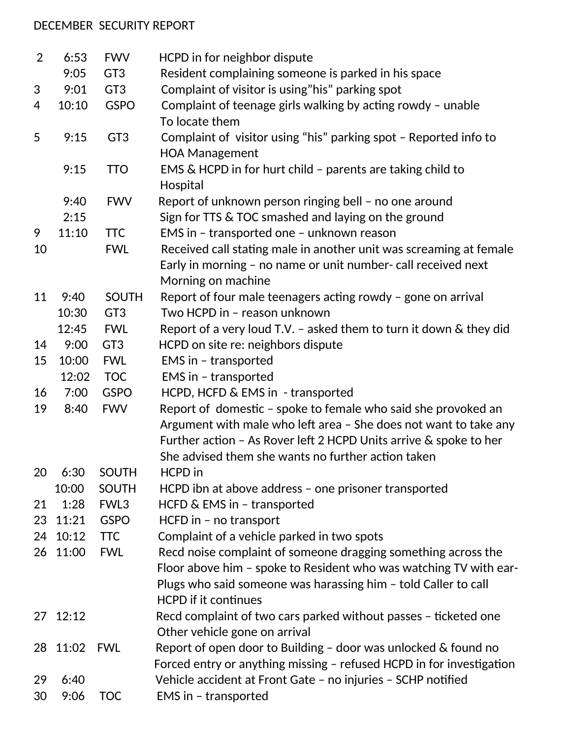## DECEMBER SECURITY REPORT

| $\overline{2}$ | 6:53  | <b>FWV</b>      | HCPD in for neighbor dispute                                                                                                                                                                                                                                 |
|----------------|-------|-----------------|--------------------------------------------------------------------------------------------------------------------------------------------------------------------------------------------------------------------------------------------------------------|
|                | 9:05  | GT <sub>3</sub> | Resident complaining someone is parked in his space                                                                                                                                                                                                          |
| 3              | 9:01  | GT <sub>3</sub> | Complaint of visitor is using"his" parking spot                                                                                                                                                                                                              |
| 4              | 10:10 | <b>GSPO</b>     | Complaint of teenage girls walking by acting rowdy - unable<br>To locate them                                                                                                                                                                                |
| 5              | 9:15  | GT <sub>3</sub> | Complaint of visitor using "his" parking spot - Reported info to<br><b>HOA Management</b>                                                                                                                                                                    |
|                | 9:15  | <b>TTO</b>      | EMS & HCPD in for hurt child - parents are taking child to<br>Hospital                                                                                                                                                                                       |
|                | 9:40  | <b>FWV</b>      | Report of unknown person ringing bell - no one around                                                                                                                                                                                                        |
|                | 2:15  |                 | Sign for TTS & TOC smashed and laying on the ground                                                                                                                                                                                                          |
| 9              | 11:10 | <b>TTC</b>      | EMS in - transported one - unknown reason                                                                                                                                                                                                                    |
| 10             |       | <b>FWL</b>      | Received call stating male in another unit was screaming at female                                                                                                                                                                                           |
|                |       |                 | Early in morning - no name or unit number- call received next                                                                                                                                                                                                |
|                |       |                 | Morning on machine                                                                                                                                                                                                                                           |
| 11             | 9:40  | <b>SOUTH</b>    | Report of four male teenagers acting rowdy - gone on arrival                                                                                                                                                                                                 |
|                | 10:30 | GT <sub>3</sub> | Two HCPD in - reason unknown                                                                                                                                                                                                                                 |
|                | 12:45 | <b>FWL</b>      | Report of a very loud T.V. - asked them to turn it down & they did                                                                                                                                                                                           |
| 14             | 9:00  | GT <sub>3</sub> | HCPD on site re: neighbors dispute                                                                                                                                                                                                                           |
| 15             | 10:00 | <b>FWL</b>      | EMS in - transported                                                                                                                                                                                                                                         |
|                | 12:02 | <b>TOC</b>      | EMS in - transported                                                                                                                                                                                                                                         |
| 16             | 7:00  | <b>GSPO</b>     | HCPD, HCFD & EMS in - transported                                                                                                                                                                                                                            |
| 19             | 8:40  | <b>FWV</b>      | Report of domestic - spoke to female who said she provoked an<br>Argument with male who left area - She does not want to take any<br>Further action - As Rover left 2 HCPD Units arrive & spoke to her<br>She advised them she wants no further action taken |
| 20             | 6:30  | <b>SOUTH</b>    | HCPD in                                                                                                                                                                                                                                                      |
|                | 10:00 | <b>SOUTH</b>    | HCPD ibn at above address - one prisoner transported                                                                                                                                                                                                         |
| 21             | 1:28  | FWL3            | HCFD & EMS in - transported                                                                                                                                                                                                                                  |
| 23             | 11:21 | <b>GSPO</b>     | HCFD in - no transport                                                                                                                                                                                                                                       |
| 24             | 10:12 | <b>TTC</b>      | Complaint of a vehicle parked in two spots                                                                                                                                                                                                                   |
| 26             | 11:00 | <b>FWL</b>      | Recd noise complaint of someone dragging something across the                                                                                                                                                                                                |
|                |       |                 | Floor above him - spoke to Resident who was watching TV with ear-<br>Plugs who said someone was harassing him - told Caller to call<br><b>HCPD</b> if it continues                                                                                           |
| 27             | 12:12 |                 | Recd complaint of two cars parked without passes - ticketed one                                                                                                                                                                                              |
|                |       |                 | Other vehicle gone on arrival                                                                                                                                                                                                                                |
| 28             | 11:02 | <b>FWL</b>      | Report of open door to Building - door was unlocked & found no<br>Forced entry or anything missing - refused HCPD in for investigation                                                                                                                       |
| 29             | 6:40  |                 | Vehicle accident at Front Gate - no injuries - SCHP notified                                                                                                                                                                                                 |
| 30             | 9:06  | <b>TOC</b>      | EMS in - transported                                                                                                                                                                                                                                         |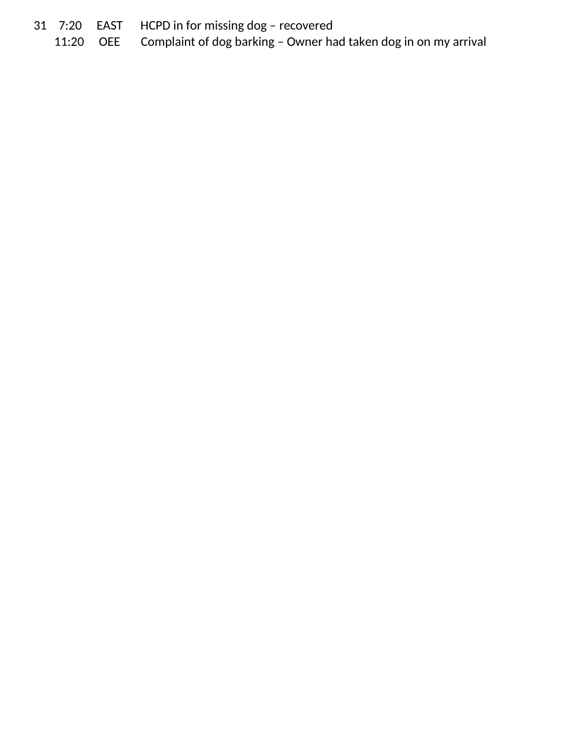- 
- 31 7:20 EAST HCPD in for missing dog recovered<br>11:20 OEE Complaint of dog barking Owner ha Complaint of dog barking - Owner had taken dog in on my arrival